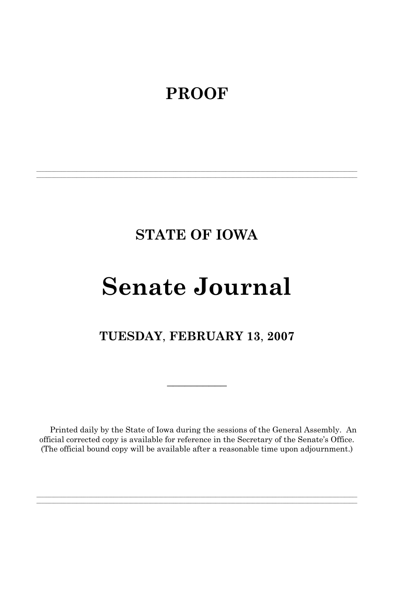## **PROOF**

## **STATE OF IOWA**

**\_\_\_\_\_\_\_\_\_\_\_\_\_\_\_\_\_\_\_\_\_\_\_\_\_\_\_\_\_\_\_\_\_\_\_\_\_\_\_\_\_\_\_\_\_\_\_\_\_\_\_\_\_\_\_\_\_\_\_\_\_\_\_\_\_\_\_\_\_\_\_\_\_\_\_\_\_\_\_\_\_\_\_\_\_\_\_\_\_\_\_\_\_\_\_\_\_\_\_\_\_\_\_\_\_\_\_\_\_\_\_\_\_\_\_\_\_\_\_\_\_\_\_\_\_\_\_\_\_ \_\_\_\_\_\_\_\_\_\_\_\_\_\_\_\_\_\_\_\_\_\_\_\_\_\_\_\_\_\_\_\_\_\_\_\_\_\_\_\_\_\_\_\_\_\_\_\_\_\_\_\_\_\_\_\_\_\_\_\_\_\_\_\_\_\_\_\_\_\_\_\_\_\_\_\_\_\_\_\_\_\_\_\_\_\_\_\_\_\_\_\_\_\_\_\_\_\_\_\_\_\_\_\_\_\_\_\_\_\_\_\_\_\_\_\_\_\_\_\_\_\_\_\_\_\_\_\_\_**

# **Senate Journal**

## **TUESDAY**, **FEBRUARY 13**, **2007**

 $\mathcal{L}_\text{max}$ 

Printed daily by the State of Iowa during the sessions of the General Assembly. An official corrected copy is available for reference in the Secretary of the Senate's Office. (The official bound copy will be available after a reasonable time upon adjournment.)

**\_\_\_\_\_\_\_\_\_\_\_\_\_\_\_\_\_\_\_\_\_\_\_\_\_\_\_\_\_\_\_\_\_\_\_\_\_\_\_\_\_\_\_\_\_\_\_\_\_\_\_\_\_\_\_\_\_\_\_\_\_\_\_\_\_\_\_\_\_\_\_\_\_\_\_\_\_\_\_\_\_\_\_\_\_\_\_\_\_\_\_\_\_\_\_\_\_\_\_\_\_\_\_\_\_\_\_\_\_\_\_\_\_\_\_\_\_\_\_\_\_\_\_\_\_\_\_\_\_ \_\_\_\_\_\_\_\_\_\_\_\_\_\_\_\_\_\_\_\_\_\_\_\_\_\_\_\_\_\_\_\_\_\_\_\_\_\_\_\_\_\_\_\_\_\_\_\_\_\_\_\_\_\_\_\_\_\_\_\_\_\_\_\_\_\_\_\_\_\_\_\_\_\_\_\_\_\_\_\_\_\_\_\_\_\_\_\_\_\_\_\_\_\_\_\_\_\_\_\_\_\_\_\_\_\_\_\_\_\_\_\_\_\_\_\_\_\_\_\_\_\_\_\_\_\_\_\_\_**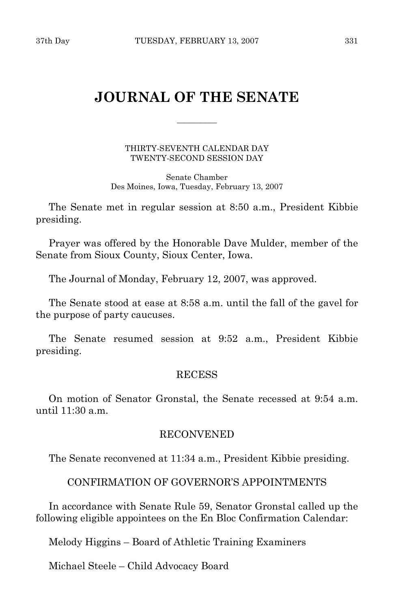## **JOURNAL OF THE SENATE**

\_\_\_\_\_\_\_\_\_\_

THIRTY-SEVENTH CALENDAR DAY TWENTY-SECOND SESSION DAY

Senate Chamber Des Moines, Iowa, Tuesday, February 13, 2007

 The Senate met in regular session at 8:50 a.m., President Kibbie presiding.

 Prayer was offered by the Honorable Dave Mulder, member of the Senate from Sioux County, Sioux Center, Iowa.

The Journal of Monday, February 12, 2007, was approved.

 The Senate stood at ease at 8:58 a.m. until the fall of the gavel for the purpose of party caucuses.

 The Senate resumed session at 9:52 a.m., President Kibbie presiding.

## RECESS

 On motion of Senator Gronstal, the Senate recessed at 9:54 a.m. until 11:30 a.m.

## RECONVENED

The Senate reconvened at 11:34 a.m., President Kibbie presiding.

## CONFIRMATION OF GOVERNOR'S APPOINTMENTS

 In accordance with Senate Rule 59, Senator Gronstal called up the following eligible appointees on the En Bloc Confirmation Calendar:

Melody Higgins – Board of Athletic Training Examiners

Michael Steele – Child Advocacy Board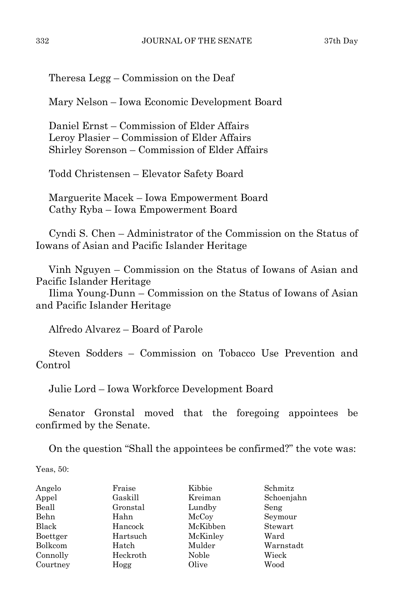Theresa Legg – Commission on the Deaf

Mary Nelson – Iowa Economic Development Board

 Daniel Ernst – Commission of Elder Affairs Leroy Plasier – Commission of Elder Affairs Shirley Sorenson – Commission of Elder Affairs

Todd Christensen – Elevator Safety Board

 Marguerite Macek – Iowa Empowerment Board Cathy Ryba – Iowa Empowerment Board

 Cyndi S. Chen – Administrator of the Commission on the Status of Iowans of Asian and Pacific Islander Heritage

 Vinh Nguyen – Commission on the Status of Iowans of Asian and Pacific Islander Heritage

 Ilima Young-Dunn – Commission on the Status of Iowans of Asian and Pacific Islander Heritage

Alfredo Alvarez – Board of Parole

 Steven Sodders – Commission on Tobacco Use Prevention and Control

Julie Lord – Iowa Workforce Development Board

 Senator Gronstal moved that the foregoing appointees be confirmed by the Senate.

On the question "Shall the appointees be confirmed?" the vote was:

Yeas, 50:

| Angelo   | Fraise   | Kibbie   | Schmitz    |
|----------|----------|----------|------------|
| Appel    | Gaskill  | Kreiman  | Schoenjahn |
| Beall    | Gronstal | Lundby   | Seng       |
| Behn     | Hahn     | McCoy    | Seymour    |
| Black    | Hancock  | McKibben | Stewart    |
| Boettger | Hartsuch | McKinley | Ward       |
| Bolkcom  | Hatch    | Mulder   | Warnstadt  |
| Connolly | Heckroth | Noble    | Wieck      |
| Courtney | Hogg     | Olive    | Wood       |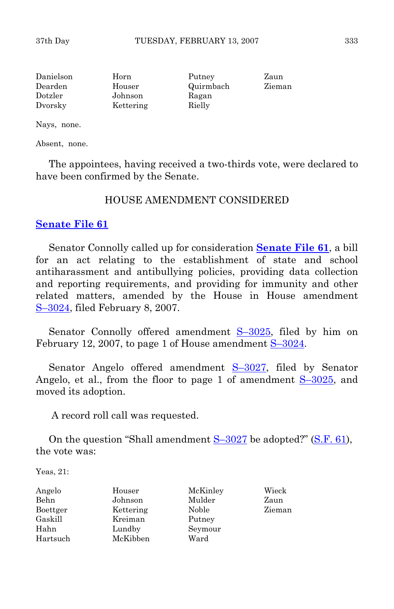| Danielson | Horn      | Putney    | Zaun   |
|-----------|-----------|-----------|--------|
| Dearden   | Houser    | Quirmbach | Zieman |
| Dotzler   | Johnson   | Ragan     |        |
| Dvorsky   | Kettering | Rielly    |        |

Nays, none.

Absent, none.

 The appointees, having received a two-thirds vote, were declared to have been confirmed by the Senate.

## HOUSE AMENDMENT CONSIDERED

## **[Senate File 61](http://coolice.legis.state.ia.us/Cool-ICE/default.asp?Category=billinfo&Service=Billbook&frame=1&GA=82&hbill=SF61)**

 Senator Connolly called up for consideration **[Senate File 61](http://coolice.legis.state.ia.us/Cool-ICE/default.asp?Category=billinfo&Service=Billbook&frame=1&GA=82&hbill=SF61)**, a bill for an act relating to the establishment of state and school antiharassment and antibullying policies, providing data collection and reporting requirements, and providing for immunity and other related matters, amended by the House in House amendment [S–3024](http://coolice.legis.state.ia.us/Cool-ICE/default.asp?Category=billinfo&Service=Billbook&frame=1&GA=82&hbill=S3024), filed February 8, 2007.

Senator Connolly offered amendment S-3025, filed by him on February 12, 2007, to page 1 of House amendment [S–3024.](http://coolice.legis.state.ia.us/Cool-ICE/default.asp?Category=billinfo&Service=Billbook&frame=1&GA=82&hbill=S3024)

Senator Angelo offered amendment  $S-3027$ , filed by Senator Angelo, et al., from the floor to page 1 of amendment [S–3025](http://coolice.legis.state.ia.us/Cool-ICE/default.asp?Category=billinfo&Service=Billbook&frame=1&GA=82&hbill=S3025), and moved its adoption.

A record roll call was requested.

On the question "Shall amendment  $S-3027$  be adopted?" ([S.F. 61](http://coolice.legis.state.ia.us/Cool-ICE/default.asp?Category=billinfo&Service=Billbook&frame=1&GA=82&hbill=SF61)), the vote was:

Yeas, 21:

| Angelo   | Houser    | McKinley | Wieck  |
|----------|-----------|----------|--------|
| Behn     | Johnson   | Mulder   | Zaun   |
| Boettger | Kettering | Noble    | Zieman |
| Gaskill  | Kreiman   | Putney   |        |
| Hahn     | Lundby    | Seymour  |        |
| Hartsuch | McKibben  | Ward     |        |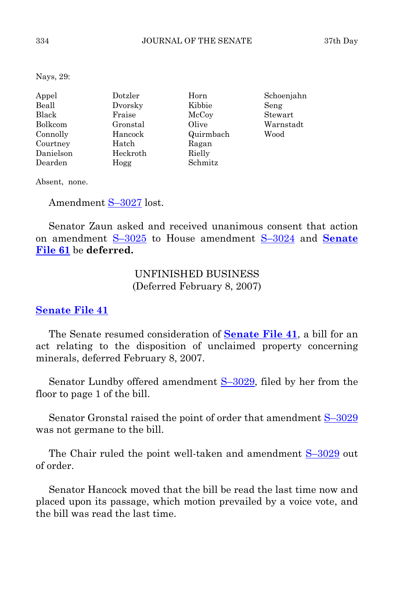Nays, 29:

| Appel          | Dotzler  | Horn      | Schoenjahn |
|----------------|----------|-----------|------------|
| Beall          | Dvorsky  | Kibbie    | Seng       |
| Black          | Fraise   | McCoy     | Stewart    |
| <b>Bolkcom</b> | Gronstal | Olive     | Warnstadt  |
| Connolly       | Hancock  | Quirmbach | Wood       |
| Courtney       | Hatch    | Ragan     |            |
| Danielson      | Heckroth | Rielly    |            |
| Dearden        | Hogg     | Schmitz   |            |

Absent, none.

Amendment S-3027 lost.

 Senator Zaun asked and received unanimous consent that action on amendment [S–3025](http://coolice.legis.state.ia.us/Cool-ICE/default.asp?Category=billinfo&Service=Billbook&frame=1&GA=82&hbill=S3025) to House amendment [S–3024](http://coolice.legis.state.ia.us/Cool-ICE/default.asp?Category=billinfo&Service=Billbook&frame=1&GA=82&hbill=S3024) and **[Senate](http://coolice.legis.state.ia.us/Cool-ICE/default.asp?Category=billinfo&Service=Billbook&frame=1&GA=82&hbill=SF61)  [File 61](http://coolice.legis.state.ia.us/Cool-ICE/default.asp?Category=billinfo&Service=Billbook&frame=1&GA=82&hbill=SF61)** be **deferred.**

> UNFINISHED BUSINESS (Deferred February 8, 2007)

## **[Senate File 41](http://coolice.legis.state.ia.us/Cool-ICE/default.asp?Category=billinfo&Service=Billbook&frame=1&GA=82&hbill=SF41)**

 The Senate resumed consideration of **[Senate File 41](http://coolice.legis.state.ia.us/Cool-ICE/default.asp?Category=billinfo&Service=Billbook&frame=1&GA=82&hbill=SF41)**, a bill for an act relating to the disposition of unclaimed property concerning minerals, deferred February 8, 2007.

Senator Lundby offered amendment S-3029, filed by her from the floor to page 1 of the bill.

 Senator Gronstal raised the point of order that amendment [S–3029](http://coolice.legis.state.ia.us/Cool-ICE/default.asp?Category=billinfo&Service=Billbook&frame=1&GA=82&hbill=S3029) was not germane to the bill.

The Chair ruled the point well-taken and amendment  $S-3029$  out of order.

 Senator Hancock moved that the bill be read the last time now and placed upon its passage, which motion prevailed by a voice vote, and the bill was read the last time.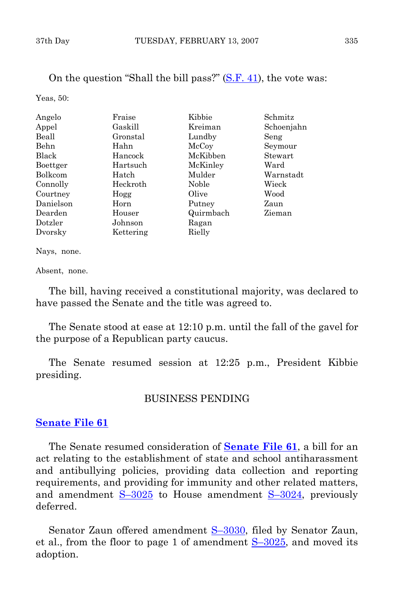On the question "Shall the bill pass?" [\(S.F. 41](http://coolice.legis.state.ia.us/Cool-ICE/default.asp?Category=billinfo&Service=Billbook&frame=1&GA=82&hbill=SF41)), the vote was:

Yeas, 50:

| Angelo    | Fraise    | Kibbie    | Schmitz    |
|-----------|-----------|-----------|------------|
| Appel     | Gaskill   | Kreiman   | Schoenjahn |
| Beall     | Gronstal  | Lundby    | Seng       |
| Behn      | Hahn      | McCoy     | Seymour    |
| Black     | Hancock   | McKibben  | Stewart    |
| Boettger  | Hartsuch  | McKinley  | Ward       |
| Bolkcom   | Hatch     | Mulder    | Warnstadt  |
| Connolly  | Heckroth  | Noble     | Wieck      |
| Courtney  | Hogg      | Olive     | Wood       |
| Danielson | Horn      | Putney    | Zaun       |
| Dearden   | Houser    | Quirmbach | Zieman     |
| Dotzler   | Johnson   | Ragan     |            |
| Dvorsky   | Kettering | Rielly    |            |

Nays, none.

Absent, none.

 The bill, having received a constitutional majority, was declared to have passed the Senate and the title was agreed to.

 The Senate stood at ease at 12:10 p.m. until the fall of the gavel for the purpose of a Republican party caucus.

 The Senate resumed session at 12:25 p.m., President Kibbie presiding.

## BUSINESS PENDING

## **[Senate File 61](http://coolice.legis.state.ia.us/Cool-ICE/default.asp?Category=billinfo&Service=Billbook&frame=1&GA=82&hbill=SF61)**

 The Senate resumed consideration of **[Senate File 61](http://coolice.legis.state.ia.us/Cool-ICE/default.asp?Category=billinfo&Service=Billbook&frame=1&GA=82&hbill=SF61)**, a bill for an act relating to the establishment of state and school antiharassment and antibullying policies, providing data collection and reporting requirements, and providing for immunity and other related matters, and amendment  $S-3025$  to House amendment  $S-3024$ , previously deferred.

 Senator Zaun offered amendment [S–3030,](http://coolice.legis.state.ia.us/Cool-ICE/default.asp?Category=billinfo&Service=Billbook&frame=1&GA=82&hbill=S3030) filed by Senator Zaun, et al., from the floor to page 1 of amendment  $S-3025$ , and moved its adoption.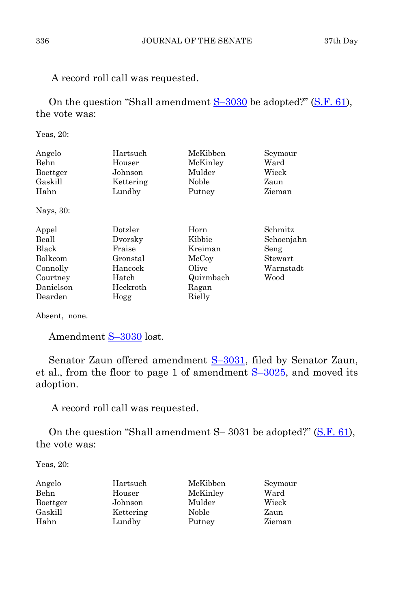A record roll call was requested.

On the question "Shall amendment  $S-3030$  be adopted?" ([S.F. 61](http://coolice.legis.state.ia.us/Cool-ICE/default.asp?Category=billinfo&Service=Billbook&frame=1&GA=82&hbill=SF61)), the vote was:

Yeas, 20:

| Angelo<br>Behn<br>Boettger<br>Gaskill | Hartsuch<br>Houser<br>Johnson<br>Kettering | McKibben<br>McKinley<br>Mulder<br>Noble | Seymour<br>Ward<br>Wieck<br>Zaun |
|---------------------------------------|--------------------------------------------|-----------------------------------------|----------------------------------|
| Hahn                                  | Lundby                                     | Putney                                  | Zieman                           |
| Nays, 30:                             |                                            |                                         |                                  |
| Appel                                 | Dotzler                                    | Horn                                    | Schmitz                          |
| Beall                                 | Dvorsky                                    | Kibbie                                  | Schoenjahn                       |
| <b>Black</b>                          | Fraise                                     | Kreiman                                 | Seng                             |
| <b>Bolkcom</b>                        | Gronstal                                   | McCoy                                   | Stewart                          |
| Connolly                              | Hancock                                    | Olive                                   | Warnstadt                        |
| Courtney                              | Hatch                                      | Quirmbach                               | Wood                             |
| Danielson                             | Heckroth                                   | Ragan                                   |                                  |
| Dearden                               | Hogg                                       | Rielly                                  |                                  |

Absent, none.

Amendment [S–3030](http://coolice.legis.state.ia.us/Cool-ICE/default.asp?Category=billinfo&Service=Billbook&frame=1&GA=82&hbill=S3030) lost.

 Senator Zaun offered amendment [S–3031,](http://coolice.legis.state.ia.us/Cool-ICE/default.asp?Category=billinfo&Service=Billbook&frame=1&GA=82&hbill=S3031) filed by Senator Zaun, et al., from the floor to page 1 of amendment  $S-3025$ , and moved its adoption.

A record roll call was requested.

On the question "Shall amendment S-3031 be adopted?" ([S.F. 61](http://coolice.legis.state.ia.us/Cool-ICE/default.asp?Category=billinfo&Service=Billbook&frame=1&GA=82&hbill=SF61)), the vote was:

Yeas, 20:

| Angelo   | Hartsuch  | McKibben | Seymour |
|----------|-----------|----------|---------|
| Behn     | Houser    | McKinley | Ward    |
| Boettger | Johnson   | Mulder   | Wieck   |
| Gaskill  | Kettering | Noble    | Zaun    |
| Hahn     | Lundby    | Putney   | Zieman  |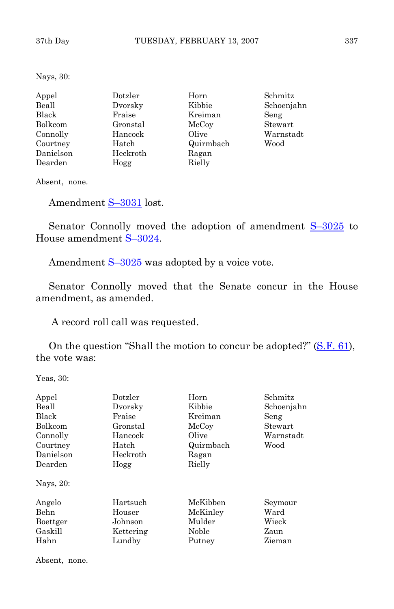Nays, 30:

| Appel     | Dotzler  | Horn      | Schmitz    |
|-----------|----------|-----------|------------|
| Beall     | Dvorsky  | Kibbie    | Schoenjahn |
| Black     | Fraise   | Kreiman   | Seng       |
| Bolkcom   | Gronstal | McCoy     | Stewart    |
| Connolly  | Hancock  | Olive     | Warnstadt  |
| Courtney  | Hatch    | Quirmbach | Wood       |
| Danielson | Heckroth | Ragan     |            |
| Dearden   | Hogg     | Rielly    |            |

Absent, none.

Amendment [S–3031](http://coolice.legis.state.ia.us/Cool-ICE/default.asp?Category=billinfo&Service=Billbook&frame=1&GA=82&hbill=S3031) lost.

Senator Connolly moved the adoption of amendment  $S-3025$  to House amendment [S–3024.](http://coolice.legis.state.ia.us/Cool-ICE/default.asp?Category=billinfo&Service=Billbook&frame=1&GA=82&hbill=S3024)

Amendment  $S-3025$  was adopted by a voice vote.

 Senator Connolly moved that the Senate concur in the House amendment, as amended.

A record roll call was requested.

On the question "Shall the motion to concur be adopted?" ([S.F. 61\)](http://coolice.legis.state.ia.us/Cool-ICE/default.asp?Category=billinfo&Service=Billbook&frame=1&GA=82&hbill=SF61), the vote was:

Yeas, 30:

| Appel<br>Beall<br><b>Black</b><br><b>Bolkcom</b><br>Connolly<br>Courtney<br>Danielson<br>Dearden | Dotzler<br>Dvorsky<br>Fraise<br>Gronstal<br>Hancock<br>Hatch<br>Heckroth<br>Hogg | Horn<br>Kibbie<br>Kreiman<br>McCoy<br>Olive<br>Quirmbach<br>Ragan<br>Rielly | Schmitz<br>Schoenjahn<br>Seng<br>Stewart<br>Warnstadt<br>Wood |
|--------------------------------------------------------------------------------------------------|----------------------------------------------------------------------------------|-----------------------------------------------------------------------------|---------------------------------------------------------------|
| Nays, 20:<br>Angelo<br>Behn<br>Boettger<br>Gaskill<br>Hahn                                       | Hartsuch<br>Houser<br>Johnson<br>Kettering<br>Lundby                             | McKibben<br>McKinley<br>Mulder<br>Noble<br>Putney                           | Seymour<br>Ward<br>Wieck<br>Zaun<br>Zieman                    |

Absent, none.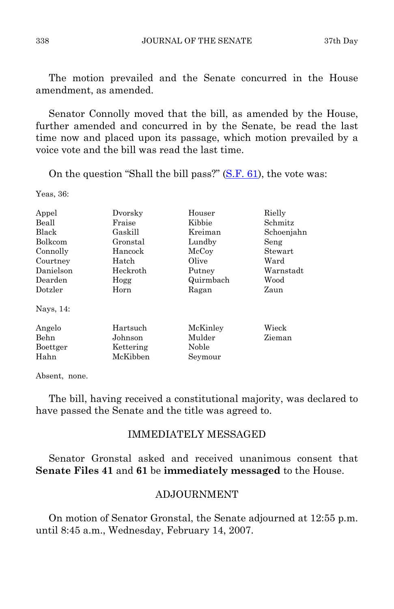The motion prevailed and the Senate concurred in the House amendment, as amended.

 Senator Connolly moved that the bill, as amended by the House, further amended and concurred in by the Senate, be read the last time now and placed upon its passage, which motion prevailed by a voice vote and the bill was read the last time.

On the question "Shall the bill pass?"  $(S.F. 61)$  $(S.F. 61)$ , the vote was:

Yeas, 36:

| Appel     | Dvorsky   | Houser    | Rielly     |
|-----------|-----------|-----------|------------|
| Beall     | Fraise    | Kibbie    | Schmitz    |
| Black     | Gaskill   | Kreiman   | Schoenjahn |
| Bolkcom   | Gronstal  | Lundby    | Seng       |
| Connolly  | Hancock   | McCoy     | Stewart    |
| Courtney  | Hatch     | Olive     | Ward       |
| Danielson | Heckroth  | Putney    | Warnstadt  |
| Dearden   | Hogg      | Quirmbach | Wood       |
| Dotzler   | Horn      | Ragan     | Zaun       |
| Nays, 14: |           |           |            |
| Angelo    | Hartsuch  | McKinley  | Wieck      |
| Behn      | Johnson   | Mulder    | Zieman     |
| Boettger  | Kettering | Noble     |            |
| Hahn      | McKibben  | Seymour   |            |

Absent, none.

 The bill, having received a constitutional majority, was declared to have passed the Senate and the title was agreed to.

## IMMEDIATELY MESSAGED

 Senator Gronstal asked and received unanimous consent that **Senate Files 41** and **61** be **immediately messaged** to the House.

## ADJOURNMENT

 On motion of Senator Gronstal, the Senate adjourned at 12:55 p.m. until 8:45 a.m., Wednesday, February 14, 2007.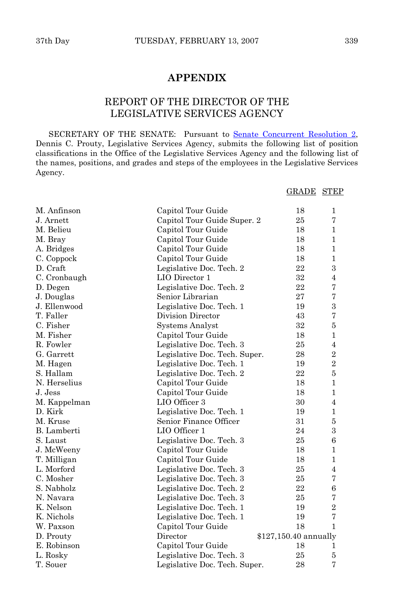## **APPENDIX**

## REPORT OF THE DIRECTOR OF THE LEGISLATIVE SERVICES AGENCY

SECRETARY OF THE SENATE: Pursuant to [Senate Concurrent Resolution 2,](http://coolice.legis.state.ia.us/Cool-ICE/default.asp?Category=billinfo&Service=Billbook&frame=1&GA=82&hbill=SCR2) Dennis C. Prouty, Legislative Services Agency, submits the following list of position classifications in the Office of the Legislative Services Agency and the following list of the names, positions, and grades and steps of the employees in the Legislative Services Agency.

|  | <b>GRADE STEP</b> |
|--|-------------------|
|  |                   |

| M. Anfinson        | Capitol Tour Guide            | 18                    | $\mathbf{1}$   |
|--------------------|-------------------------------|-----------------------|----------------|
| J. Arnett          | Capitol Tour Guide Super. 2   | 25                    | 7              |
| M. Belieu          | Capitol Tour Guide            | 18                    | $\mathbf{1}$   |
| M. Bray            | Capitol Tour Guide            | 18                    | $\mathbf{1}$   |
| A. Bridges         | Capitol Tour Guide            | 18                    | $\mathbf{1}$   |
| C. Coppock         | Capitol Tour Guide            | 18                    | 1              |
| D. Craft           | Legislative Doc. Tech. 2      | 22                    | 3              |
| C. Cronbaugh       | LIO Director 1                | 32                    | $\overline{4}$ |
| D. Degen           | Legislative Doc. Tech. 2      | 22                    | 7              |
| J. Douglas         | Senior Librarian              | 27                    | 7              |
| J. Ellenwood       | Legislative Doc. Tech. 1      | 19                    | $\,3$          |
| T. Faller          | Division Director             | 43                    | 7              |
| C. Fisher          | <b>Systems Analyst</b>        | 32                    | 5              |
| M. Fisher          | Capitol Tour Guide            | 18                    | 1              |
| R. Fowler          | Legislative Doc. Tech. 3      | 25                    | 4              |
| G. Garrett         | Legislative Doc. Tech. Super. | 28                    | $\overline{2}$ |
| M. Hagen           | Legislative Doc. Tech. 1      | 19                    | $\overline{2}$ |
| S. Hallam          | Legislative Doc. Tech. 2      | 22                    | $\overline{5}$ |
| N. Herselius       | Capitol Tour Guide            | 18                    | $\mathbf{1}$   |
| J. Jess            | Capitol Tour Guide            | 18                    | $\mathbf{1}$   |
| M. Kappelman       | LIO Officer 3                 | 30                    | $\overline{4}$ |
| D. Kirk            | Legislative Doc. Tech. 1      | 19                    | $\mathbf{1}$   |
| M. Kruse           | Senior Finance Officer        | 31                    | $\bf 5$        |
| <b>B.</b> Lamberti | LIO Officer 1                 | 24                    | 3              |
| S. Laust           | Legislative Doc. Tech. 3      | 25                    | 6              |
| J. McWeeny         | Capitol Tour Guide            | 18                    | 1              |
| T. Milligan        | Capitol Tour Guide            | 18                    | 1              |
| L. Morford         | Legislative Doc. Tech. 3      | 25                    | 4              |
| C. Mosher          | Legislative Doc. Tech. 3      | 25                    | 7              |
| S. Nabholz         | Legislative Doc. Tech. 2      | 22                    | 6              |
| N. Navara          | Legislative Doc. Tech. 3      | 25                    | 7              |
| K. Nelson          | Legislative Doc. Tech. 1      | 19                    | $\overline{2}$ |
| K. Nichols         | Legislative Doc. Tech. 1      | 19                    | $\overline{7}$ |
| W. Paxson          | Capitol Tour Guide            | 18                    | 1              |
| D. Prouty          | Director                      | \$127,150.40 annually |                |
| E. Robinson        | Capitol Tour Guide            | 18                    | 1              |
| L. Rosky           | Legislative Doc. Tech. 3      | 25                    | 5              |
| T. Souer           | Legislative Doc. Tech. Super. | 28                    | $\overline{7}$ |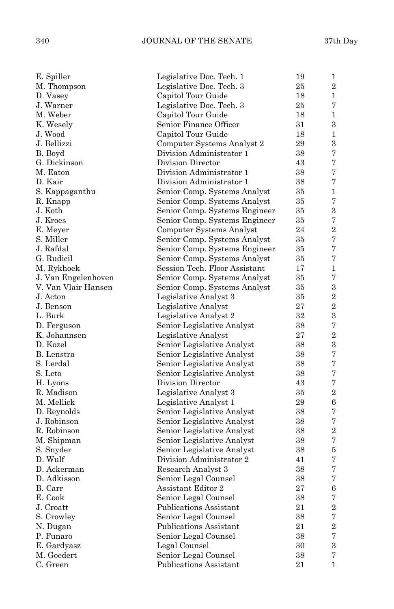## 340 JOURNAL OF THE SENATE 37th Day

| E. Spiller          | Legislative Doc. Tech. 1      | 19 | 1              |
|---------------------|-------------------------------|----|----------------|
| M. Thompson         | Legislative Doc. Tech. 3      | 25 | $\overline{2}$ |
| D. Vasey            | Capitol Tour Guide            | 18 | $\mathbf{1}$   |
| J. Warner           | Legislative Doc. Tech. 3      | 25 | 7              |
| M. Weber            | Capitol Tour Guide            | 18 | $\mathbf{1}$   |
| K. Wesely           | Senior Finance Officer        | 31 | 3              |
| J. Wood             | Capitol Tour Guide            | 18 | $\mathbf 1$    |
| J. Bellizzi         | Computer Systems Analyst 2    | 29 | 3              |
| B. Boyd             | Division Administrator 1      | 38 | 7              |
| G. Dickinson        | Division Director             | 43 | 7              |
| M. Eaton            | Division Administrator 1      | 38 | 7              |
| D. Kair             | Division Administrator 1      | 38 | 7              |
| S. Kappaganthu      | Senior Comp. Systems Analyst  | 35 | $\mathbf{1}$   |
| R. Knapp            | Senior Comp. Systems Analyst  | 35 | 7              |
| J. Koth             | Senior Comp. Systems Engineer | 35 | 3              |
| J. Kroes            | Senior Comp. Systems Engineer | 35 | 7              |
| E. Meyer            | Computer Systems Analyst      | 24 | $\overline{2}$ |
| S. Miller           | Senior Comp. Systems Analyst  | 35 | 7              |
| J. Rafdal           | Senior Comp. Systems Engineer | 35 | 7              |
| G. Rudicil          | Senior Comp. Systems Analyst  | 35 | 7              |
| M. Rykhoek          | Session Tech. Floor Assistant | 17 | $\mathbf{1}$   |
| J. Van Engelenhoven | Senior Comp. Systems Analyst  | 35 | 7              |
| V. Van Vlair Hansen | Senior Comp. Systems Analyst  | 35 | 3              |
| J. Acton            | Legislative Analyst 3         | 35 | $\overline{2}$ |
| J. Benson           | Legislative Analyst           | 27 | $\overline{2}$ |
| L. Burk             | Legislative Analyst 2         | 32 | 3              |
| D. Ferguson         | Senior Legislative Analyst    | 38 | 7              |
| K. Johannsen        | Legislative Analyst           | 27 | $\overline{2}$ |
| D. Kozel            | Senior Legislative Analyst    | 38 | 3              |
| B. Lenstra          | Senior Legislative Analyst    | 38 | 7              |
| S. Lerdal           | Senior Legislative Analyst    | 38 | 7              |
| S. Leto             | Senior Legislative Analyst    | 38 | 7              |
| H. Lyons            | Division Director             | 43 | 7              |
| R. Madison          | Legislative Analyst 3         | 35 | $\overline{2}$ |
| M. Mellick          | Legislative Analyst 1         | 29 | 6              |
| D. Reynolds         | Senior Legislative Analyst    | 38 | 7              |
| J. Robinson         | Senior Legislative Analyst    | 38 | 7              |
| R. Robinson         | Senior Legislative Analyst    | 38 | $\overline{2}$ |
| M. Shipman          | Senior Legislative Analyst    | 38 | 7              |
| S. Snyder           | Senior Legislative Analyst    | 38 | 5              |
| D. Wulf             | Division Administrator 2      | 41 | 7              |
| D. Ackerman         | Research Analyst 3            | 38 | 7              |
| D. Adkisson         |                               | 38 | 7              |
|                     | Senior Legal Counsel          |    |                |
| B. Carr             | Assistant Editor 2            | 27 | 6<br>7         |
| E. Cook             | Senior Legal Counsel          | 38 |                |
| J. Croatt           | Publications Assistant        | 21 | $\overline{2}$ |
| S. Crowley          | Senior Legal Counsel          | 38 | 7              |
| N. Dugan            | <b>Publications Assistant</b> | 21 | $\overline{2}$ |
| P. Funaro           | Senior Legal Counsel          | 38 | 7              |
| E. Gardyasz         | Legal Counsel                 | 30 | 3              |
| M. Goedert          | Senior Legal Counsel          | 38 | 7              |
| C. Green            | Publications Assistant        | 21 | $\mathbf{1}$   |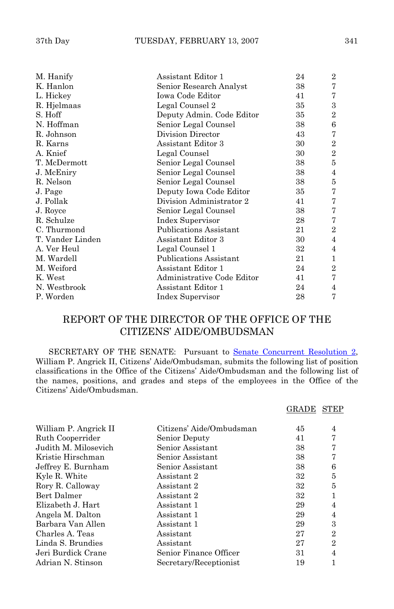| M. Hanify        | Assistant Editor 1            | 24 | $\overline{2}$ |
|------------------|-------------------------------|----|----------------|
| K. Hanlon        | Senior Research Analyst       | 38 | 7              |
| L. Hickey        | Iowa Code Editor              | 41 | 7              |
| R. Hjelmaas      | Legal Counsel 2               | 35 | 3              |
| S. Hoff          | Deputy Admin. Code Editor     | 35 | $\overline{2}$ |
| N. Hoffman       | Senior Legal Counsel          | 38 | 6              |
| R. Johnson       | Division Director             | 43 | 7              |
| R. Karns         | Assistant Editor 3            | 30 | $\overline{2}$ |
| A. Knief         | Legal Counsel                 | 30 | $\overline{2}$ |
| T. McDermott     | Senior Legal Counsel          | 38 | 5              |
| J. McEniry       | Senior Legal Counsel          | 38 | $\overline{4}$ |
| R. Nelson        | Senior Legal Counsel          | 38 | 5              |
| J. Page          | Deputy Iowa Code Editor       | 35 | 7              |
| J. Pollak        | Division Administrator 2      | 41 | 7              |
| J. Royce         | Senior Legal Counsel          | 38 | 7              |
| R. Schulze       | Index Supervisor              | 28 | 7              |
| C. Thurmond      | <b>Publications Assistant</b> | 21 | $\overline{2}$ |
| T. Vander Linden | Assistant Editor 3            | 30 | $\overline{4}$ |
| A. Ver Heul      | Legal Counsel 1               | 32 | $\overline{4}$ |
| M. Wardell       | Publications Assistant        | 21 | 1              |
| M. Weiford       | Assistant Editor 1            | 24 | $\overline{2}$ |
| K. West          | Administrative Code Editor    | 41 | 7              |
| N. Westbrook     | Assistant Editor 1            | 24 | 4              |
| P. Worden        | Index Supervisor              | 28 | 7              |

## REPORT OF THE DIRECTOR OF THE OFFICE OF THE CITIZENS' AIDE/OMBUDSMAN

 SECRETARY OF THE SENATE: Pursuant to [Senate Concurrent Resolution 2,](http://coolice.legis.state.ia.us/Cool-ICE/default.asp?Category=billinfo&Service=Billbook&frame=1&GA=82&hbill=SCR2) William P. Angrick II, Citizens' Aide/Ombudsman, submits the following list of position classifications in the Office of the Citizens' Aide/Ombudsman and the following list of the names, positions, and grades and steps of the employees in the Office of the Citizens' Aide/Ombudsman.

|                       |                          | GRADE | <b>STEP</b>    |
|-----------------------|--------------------------|-------|----------------|
| William P. Angrick II | Citizens' Aide/Ombudsman | 45    | 4              |
| Ruth Cooperrider      | Senior Deputy            | 41    | 7              |
| Judith M. Milosevich  | Senior Assistant         | 38    | 7              |
| Kristie Hirschman     | Senior Assistant         | 38    | 7              |
| Jeffrey E. Burnham    | Senior Assistant         | 38    | 6              |
| Kyle R. White         | Assistant 2              | 32    | 5              |
| Rory R. Calloway      | Assistant 2              | 32    | 5              |
| Bert Dalmer           | Assistant 2              | 32    |                |
| Elizabeth J. Hart     | Assistant 1              | 29    | $\overline{4}$ |
| Angela M. Dalton      | Assistant 1              | 29    | $\overline{4}$ |
| Barbara Van Allen     | Assistant 1              | 29    | 3              |
| Charles A. Teas       | Assistant                | 27    | $\overline{2}$ |
| Linda S. Brundies     | Assistant                | 27    | $\overline{2}$ |
| Jeri Burdick Crane    | Senior Finance Officer   | 31    | 4              |
| Adrian N. Stinson     | Secretary/Receptionist   | 19    |                |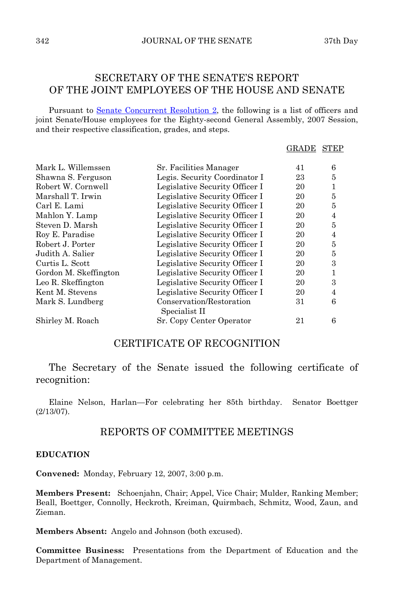## SECRETARY OF THE SENATE'S REPORT OF THE JOINT EMPLOYEES OF THE HOUSE AND SENATE

Pursuant to [Senate Concurrent Resolution 2,](http://coolice.legis.state.ia.us/Cool-ICE/default.asp?Category=billinfo&Service=Billbook&frame=1&GA=82&hbill=SCR2) the following is a list of officers and joint Senate/House employees for the Eighty-second General Assembly, 2007 Session, and their respective classification, grades, and steps.

#### GRADE STEP

| Mark L. Willemssen    | Sr. Facilities Manager                    | 41 | 6 |
|-----------------------|-------------------------------------------|----|---|
| Shawna S. Ferguson    | Legis. Security Coordinator I             | 23 | 5 |
| Robert W. Cornwell    | Legislative Security Officer I            | 20 | 1 |
| Marshall T. Irwin     | Legislative Security Officer I            | 20 | 5 |
| Carl E. Lami          | Legislative Security Officer I            | 20 | 5 |
| Mahlon Y. Lamp        | Legislative Security Officer I            | 20 | 4 |
| Steven D. Marsh       | Legislative Security Officer I            | 20 | 5 |
| Roy E. Paradise       | Legislative Security Officer I            | 20 | 4 |
| Robert J. Porter      | Legislative Security Officer I            | 20 | 5 |
| Judith A. Salier      | Legislative Security Officer I            | 20 | 5 |
| Curtis L. Scott       | Legislative Security Officer I            | 20 | 3 |
| Gordon M. Skeffington | Legislative Security Officer I            | 20 |   |
| Leo R. Skeffington    | Legislative Security Officer I            | 20 | 3 |
| Kent M. Stevens       | Legislative Security Officer I            | 20 | 4 |
| Mark S. Lundberg      | Conservation/Restoration<br>Specialist II | 31 | 6 |
| Shirley M. Roach      | Sr. Copy Center Operator                  | 21 | 6 |

## CERTIFICATE OF RECOGNITION

 The Secretary of the Senate issued the following certificate of recognition:

 Elaine Nelson, Harlan—For celebrating her 85th birthday. Senator Boettger (2/13/07).

## REPORTS OF COMMITTEE MEETINGS

#### **EDUCATION**

**Convened:** Monday, February 12, 2007, 3:00 p.m.

**Members Present:** Schoenjahn, Chair; Appel, Vice Chair; Mulder, Ranking Member; Beall, Boettger, Connolly, Heckroth, Kreiman, Quirmbach, Schmitz, Wood, Zaun, and Zieman.

**Members Absent:** Angelo and Johnson (both excused).

**Committee Business:** Presentations from the Department of Education and the Department of Management.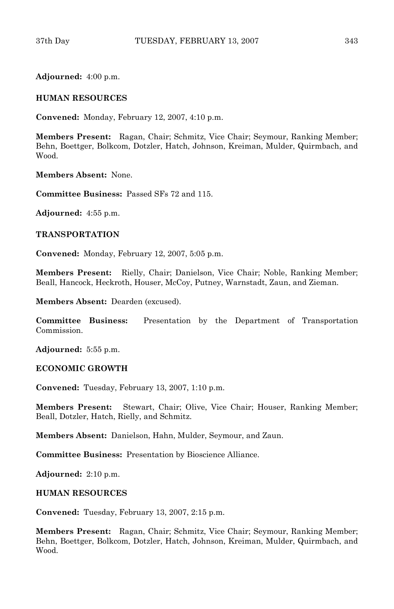**Adjourned:** 4:00 p.m.

#### **HUMAN RESOURCES**

**Convened:** Monday, February 12, 2007, 4:10 p.m.

**Members Present:** Ragan, Chair; Schmitz, Vice Chair; Seymour, Ranking Member; Behn, Boettger, Bolkcom, Dotzler, Hatch, Johnson, Kreiman, Mulder, Quirmbach, and Wood.

**Members Absent:** None.

**Committee Business:** Passed SFs 72 and 115.

**Adjourned:** 4:55 p.m.

#### **TRANSPORTATION**

**Convened:** Monday, February 12, 2007, 5:05 p.m.

**Members Present:** Rielly, Chair; Danielson, Vice Chair; Noble, Ranking Member; Beall, Hancock, Heckroth, Houser, McCoy, Putney, Warnstadt, Zaun, and Zieman.

**Members Absent:** Dearden (excused).

**Committee Business:** Presentation by the Department of Transportation Commission.

**Adjourned:** 5:55 p.m.

#### **ECONOMIC GROWTH**

**Convened:** Tuesday, February 13, 2007, 1:10 p.m.

**Members Present:** Stewart, Chair; Olive, Vice Chair; Houser, Ranking Member; Beall, Dotzler, Hatch, Rielly, and Schmitz.

**Members Absent:** Danielson, Hahn, Mulder, Seymour, and Zaun.

**Committee Business:** Presentation by Bioscience Alliance.

**Adjourned:** 2:10 p.m.

#### **HUMAN RESOURCES**

**Convened:** Tuesday, February 13, 2007, 2:15 p.m.

**Members Present:** Ragan, Chair; Schmitz, Vice Chair; Seymour, Ranking Member; Behn, Boettger, Bolkcom, Dotzler, Hatch, Johnson, Kreiman, Mulder, Quirmbach, and Wood.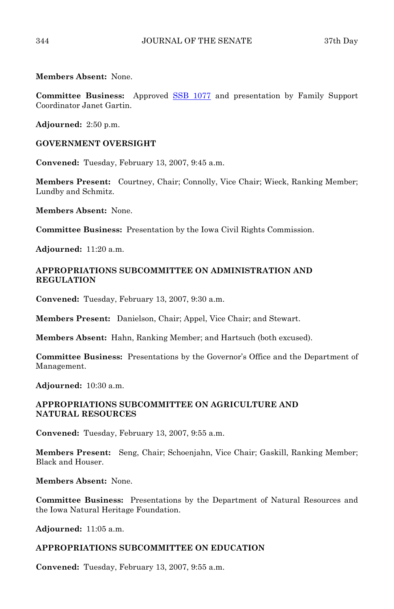**Members Absent:** None.

**Committee Business:** Approved [SSB 1077](http://coolice.legis.state.ia.us/Cool-ICE/default.asp?Category=billinfo&Service=Billbook&frame=1&GA=82&hbill=SSB1077) and presentation by Family Support Coordinator Janet Gartin.

**Adjourned:** 2:50 p.m.

#### **GOVERNMENT OVERSIGHT**

**Convened:** Tuesday, February 13, 2007, 9:45 a.m.

**Members Present:** Courtney, Chair; Connolly, Vice Chair; Wieck, Ranking Member; Lundby and Schmitz.

**Members Absent:** None.

**Committee Business:** Presentation by the Iowa Civil Rights Commission.

**Adjourned:** 11:20 a.m.

#### **APPROPRIATIONS SUBCOMMITTEE ON ADMINISTRATION AND REGULATION**

**Convened:** Tuesday, February 13, 2007, 9:30 a.m.

**Members Present:** Danielson, Chair; Appel, Vice Chair; and Stewart.

**Members Absent:** Hahn, Ranking Member; and Hartsuch (both excused).

**Committee Business:** Presentations by the Governor's Office and the Department of Management.

**Adjourned:** 10:30 a.m.

#### **APPROPRIATIONS SUBCOMMITTEE ON AGRICULTURE AND NATURAL RESOURCES**

**Convened:** Tuesday, February 13, 2007, 9:55 a.m.

**Members Present:** Seng, Chair; Schoenjahn, Vice Chair; Gaskill, Ranking Member; Black and Houser.

**Members Absent:** None.

**Committee Business:** Presentations by the Department of Natural Resources and the Iowa Natural Heritage Foundation.

**Adjourned:** 11:05 a.m.

#### **APPROPRIATIONS SUBCOMMITTEE ON EDUCATION**

**Convened:** Tuesday, February 13, 2007, 9:55 a.m.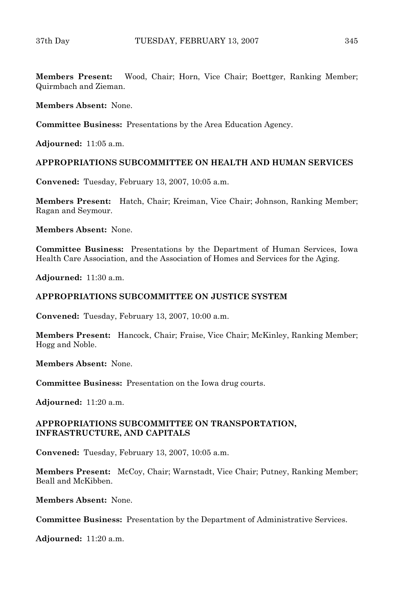**Members Present:** Wood, Chair; Horn, Vice Chair; Boettger, Ranking Member; Quirmbach and Zieman.

**Members Absent:** None.

**Committee Business:** Presentations by the Area Education Agency.

**Adjourned:** 11:05 a.m.

#### **APPROPRIATIONS SUBCOMMITTEE ON HEALTH AND HUMAN SERVICES**

**Convened:** Tuesday, February 13, 2007, 10:05 a.m.

**Members Present:** Hatch, Chair; Kreiman, Vice Chair; Johnson, Ranking Member; Ragan and Seymour.

**Members Absent:** None.

**Committee Business:** Presentations by the Department of Human Services, Iowa Health Care Association, and the Association of Homes and Services for the Aging.

**Adjourned:** 11:30 a.m.

### **APPROPRIATIONS SUBCOMMITTEE ON JUSTICE SYSTEM**

**Convened:** Tuesday, February 13, 2007, 10:00 a.m.

**Members Present:** Hancock, Chair; Fraise, Vice Chair; McKinley, Ranking Member; Hogg and Noble.

**Members Absent:** None.

**Committee Business:** Presentation on the Iowa drug courts.

**Adjourned:** 11:20 a.m.

#### **APPROPRIATIONS SUBCOMMITTEE ON TRANSPORTATION, INFRASTRUCTURE, AND CAPITALS**

**Convened:** Tuesday, February 13, 2007, 10:05 a.m.

**Members Present:** McCoy, Chair; Warnstadt, Vice Chair; Putney, Ranking Member; Beall and McKibben.

**Members Absent:** None.

**Committee Business:** Presentation by the Department of Administrative Services.

**Adjourned:** 11:20 a.m.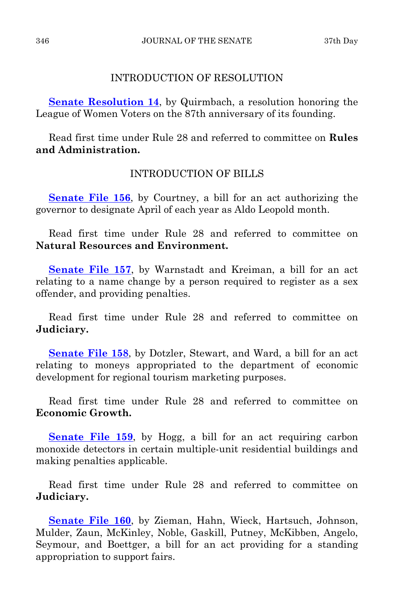## INTRODUCTION OF RESOLUTION

**[Senate Resolution 14](http://coolice.legis.state.ia.us/Cool-ICE/default.asp?Category=billinfo&Service=Billbook&frame=1&GA=82&hbill=SR14)**, by Quirmbach, a resolution honoring the League of Women Voters on the 87th anniversary of its founding.

 Read first time under Rule 28 and referred to committee on **Rules and Administration.** 

## INTRODUCTION OF BILLS

**[Senate File 156](http://coolice.legis.state.ia.us/Cool-ICE/default.asp?Category=billinfo&Service=Billbook&frame=1&GA=82&hbill=SF156)**, by Courtney, a bill for an act authorizing the governor to designate April of each year as Aldo Leopold month.

 Read first time under Rule 28 and referred to committee on **Natural Resources and Environment.**

**[Senate File 157](http://coolice.legis.state.ia.us/Cool-ICE/default.asp?Category=billinfo&Service=Billbook&frame=1&GA=82&hbill=SF157)**, by Warnstadt and Kreiman, a bill for an act relating to a name change by a person required to register as a sex offender, and providing penalties.

 Read first time under Rule 28 and referred to committee on **Judiciary.**

**[Senate File 158](http://coolice.legis.state.ia.us/Cool-ICE/default.asp?Category=billinfo&Service=Billbook&frame=1&GA=82&hbill=SF158)**, by Dotzler, Stewart, and Ward, a bill for an act relating to moneys appropriated to the department of economic development for regional tourism marketing purposes.

 Read first time under Rule 28 and referred to committee on **Economic Growth.**

**[Senate File 159](http://coolice.legis.state.ia.us/Cool-ICE/default.asp?Category=billinfo&Service=Billbook&frame=1&GA=82&hbill=SF159)**, by Hogg, a bill for an act requiring carbon monoxide detectors in certain multiple-unit residential buildings and making penalties applicable.

 Read first time under Rule 28 and referred to committee on **Judiciary.**

**[Senate File 160](http://coolice.legis.state.ia.us/Cool-ICE/default.asp?Category=billinfo&Service=Billbook&frame=1&GA=82&hbill=SF160)**, by Zieman, Hahn, Wieck, Hartsuch, Johnson, Mulder, Zaun, McKinley, Noble, Gaskill, Putney, McKibben, Angelo, Seymour, and Boettger, a bill for an act providing for a standing appropriation to support fairs.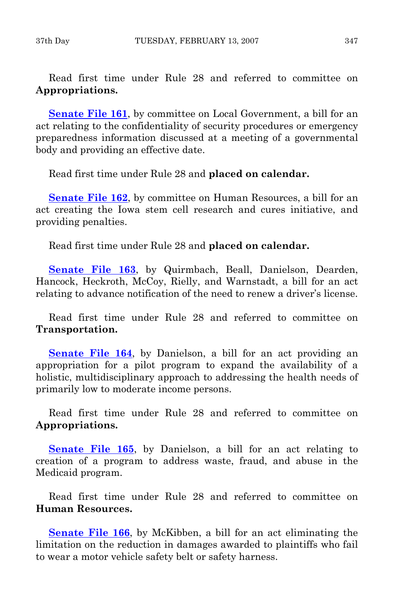Read first time under Rule 28 and referred to committee on **Appropriations.**

**[Senate File 161](http://coolice.legis.state.ia.us/Cool-ICE/default.asp?Category=billinfo&Service=Billbook&frame=1&GA=82&hbill=SF161)**, by committee on Local Government, a bill for an act relating to the confidentiality of security procedures or emergency preparedness information discussed at a meeting of a governmental body and providing an effective date.

Read first time under Rule 28 and **placed on calendar.** 

**[Senate File 162](http://coolice.legis.state.ia.us/Cool-ICE/default.asp?Category=billinfo&Service=Billbook&frame=1&GA=82&hbill=SF162)**, by committee on Human Resources, a bill for an act creating the Iowa stem cell research and cures initiative, and providing penalties.

Read first time under Rule 28 and **placed on calendar.**

**[Senate File 163](http://coolice.legis.state.ia.us/Cool-ICE/default.asp?Category=billinfo&Service=Billbook&frame=1&GA=82&hbill=SF163)**, by Quirmbach, Beall, Danielson, Dearden, Hancock, Heckroth, McCoy, Rielly, and Warnstadt, a bill for an act relating to advance notification of the need to renew a driver's license.

 Read first time under Rule 28 and referred to committee on **Transportation.**

**[Senate File 164](http://coolice.legis.state.ia.us/Cool-ICE/default.asp?Category=billinfo&Service=Billbook&frame=1&GA=82&hbill=SF164)**, by Danielson, a bill for an act providing an appropriation for a pilot program to expand the availability of a holistic, multidisciplinary approach to addressing the health needs of primarily low to moderate income persons.

 Read first time under Rule 28 and referred to committee on **Appropriations.**

[Senate File 165](http://coolice.legis.state.ia.us/Cool-ICE/default.asp?Category=billinfo&Service=Billbook&frame=1&GA=82&hbill=SF165), by Danielson, a bill for an act relating to creation of a program to address waste, fraud, and abuse in the Medicaid program.

 Read first time under Rule 28 and referred to committee on **Human Resources.**

**[Senate File 166](http://coolice.legis.state.ia.us/Cool-ICE/default.asp?Category=billinfo&Service=Billbook&frame=1&GA=82&hbill=SF166)**, by McKibben, a bill for an act eliminating the limitation on the reduction in damages awarded to plaintiffs who fail to wear a motor vehicle safety belt or safety harness.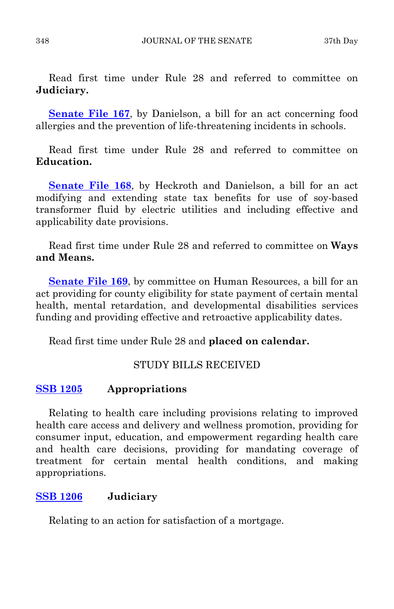Read first time under Rule 28 and referred to committee on **Judiciary.**

**[Senate File 167](http://coolice.legis.state.ia.us/Cool-ICE/default.asp?Category=billinfo&Service=Billbook&frame=1&GA=82&hbill=SF167)**, by Danielson, a bill for an act concerning food allergies and the prevention of life-threatening incidents in schools.

 Read first time under Rule 28 and referred to committee on **Education.**

**[Senate File 168](http://coolice.legis.state.ia.us/Cool-ICE/default.asp?Category=billinfo&Service=Billbook&frame=1&GA=82&hbill=SF168)**, by Heckroth and Danielson, a bill for an act modifying and extending state tax benefits for use of soy-based transformer fluid by electric utilities and including effective and applicability date provisions.

 Read first time under Rule 28 and referred to committee on **Ways and Means.**

**[Senate File 169](http://coolice.legis.state.ia.us/Cool-ICE/default.asp?Category=billinfo&Service=Billbook&frame=1&GA=82&hbill=SF169)**, by committee on Human Resources, a bill for an act providing for county eligibility for state payment of certain mental health, mental retardation, and developmental disabilities services funding and providing effective and retroactive applicability dates.

Read first time under Rule 28 and **placed on calendar.**

## STUDY BILLS RECEIVED

## **[SSB 1205](http://coolice.legis.state.ia.us/Cool-ICE/default.asp?Category=billinfo&Service=Billbook&frame=1&GA=82&hbill=SSB1205) Appropriations**

 Relating to health care including provisions relating to improved health care access and delivery and wellness promotion, providing for consumer input, education, and empowerment regarding health care and health care decisions, providing for mandating coverage of treatment for certain mental health conditions, and making appropriations.

## **[SSB 1206](http://coolice.legis.state.ia.us/Cool-ICE/default.asp?Category=billinfo&Service=Billbook&frame=1&GA=82&hbill=SSB1206) Judiciary**

Relating to an action for satisfaction of a mortgage.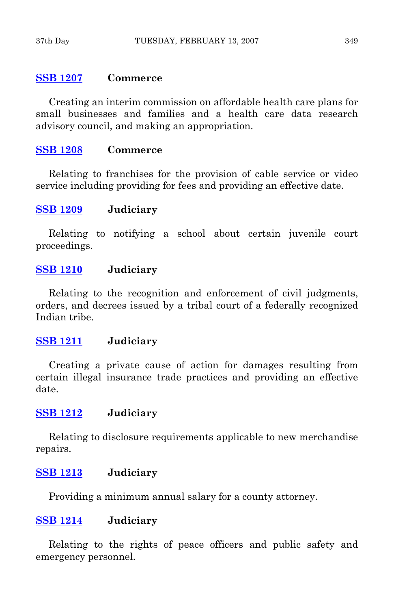## **[SSB 1207](http://coolice.legis.state.ia.us/Cool-ICE/default.asp?Category=billinfo&Service=Billbook&frame=1&GA=82&hbill=SSB1207) Commerce**

 Creating an interim commission on affordable health care plans for small businesses and families and a health care data research advisory council, and making an appropriation.

## **[SSB 1208](http://coolice.legis.state.ia.us/Cool-ICE/default.asp?Category=billinfo&Service=Billbook&frame=1&GA=82&hbill=SSB1208) Commerce**

 Relating to franchises for the provision of cable service or video service including providing for fees and providing an effective date.

## **[SSB 1209](http://coolice.legis.state.ia.us/Cool-ICE/default.asp?Category=billinfo&Service=Billbook&frame=1&GA=82&hbill=SSB1209) Judiciary**

 Relating to notifying a school about certain juvenile court proceedings.

## **[SSB 1210](http://coolice.legis.state.ia.us/Cool-ICE/default.asp?Category=billinfo&Service=Billbook&frame=1&GA=82&hbill=SSB1210) Judiciary**

 Relating to the recognition and enforcement of civil judgments, orders, and decrees issued by a tribal court of a federally recognized Indian tribe.

## **[SSB 1211](http://coolice.legis.state.ia.us/Cool-ICE/default.asp?Category=billinfo&Service=Billbook&frame=1&GA=82&hbill=SSB1211) Judiciary**

 Creating a private cause of action for damages resulting from certain illegal insurance trade practices and providing an effective date.

## **[SSB 1212](http://coolice.legis.state.ia.us/Cool-ICE/default.asp?Category=billinfo&Service=Billbook&frame=1&GA=82&hbill=SSB1212) Judiciary**

 Relating to disclosure requirements applicable to new merchandise repairs.

## **[SSB 1213](http://coolice.legis.state.ia.us/Cool-ICE/default.asp?Category=billinfo&Service=Billbook&frame=1&GA=82&hbill=SSB1213) Judiciary**

Providing a minimum annual salary for a county attorney.

## **[SSB 1214](http://coolice.legis.state.ia.us/Cool-ICE/default.asp?Category=billinfo&Service=Billbook&frame=1&GA=82&hbill=SSB1214) Judiciary**

 Relating to the rights of peace officers and public safety and emergency personnel.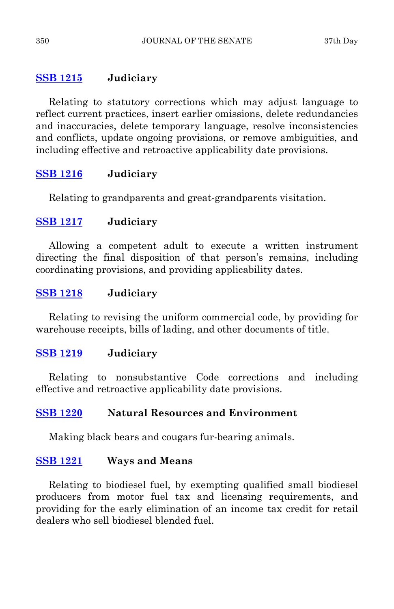## **[SSB 1215](http://coolice.legis.state.ia.us/Cool-ICE/default.asp?Category=billinfo&Service=Billbook&frame=1&GA=82&hbill=SSB1215) Judiciary**

 Relating to statutory corrections which may adjust language to reflect current practices, insert earlier omissions, delete redundancies and inaccuracies, delete temporary language, resolve inconsistencies and conflicts, update ongoing provisions, or remove ambiguities, and including effective and retroactive applicability date provisions.

## **[SSB 1216](http://coolice.legis.state.ia.us/Cool-ICE/default.asp?Category=billinfo&Service=Billbook&frame=1&GA=82&hbill=SSB1216) Judiciary**

Relating to grandparents and great-grandparents visitation.

## **[SSB 1217](http://coolice.legis.state.ia.us/Cool-ICE/default.asp?Category=billinfo&Service=Billbook&frame=1&GA=82&hbill=SSB1217) Judiciary**

 Allowing a competent adult to execute a written instrument directing the final disposition of that person's remains, including coordinating provisions, and providing applicability dates.

## **[SSB 1218](http://coolice.legis.state.ia.us/Cool-ICE/default.asp?Category=billinfo&Service=Billbook&frame=1&GA=82&hbill=SSB1218) Judiciary**

 Relating to revising the uniform commercial code, by providing for warehouse receipts, bills of lading, and other documents of title.

## **[SSB 1219](http://coolice.legis.state.ia.us/Cool-ICE/default.asp?Category=billinfo&Service=Billbook&frame=1&GA=82&hbill=SSB1219) Judiciary**

 Relating to nonsubstantive Code corrections and including effective and retroactive applicability date provisions.

## **[SSB 1220](http://coolice.legis.state.ia.us/Cool-ICE/default.asp?Category=billinfo&Service=Billbook&frame=1&GA=82&hbill=SSB1220) Natural Resources and Environment**

Making black bears and cougars fur-bearing animals.

## **[SSB 1221](http://coolice.legis.state.ia.us/Cool-ICE/default.asp?Category=billinfo&Service=Billbook&frame=1&GA=82&hbill=SSB1221) Ways and Means**

 Relating to biodiesel fuel, by exempting qualified small biodiesel producers from motor fuel tax and licensing requirements, and providing for the early elimination of an income tax credit for retail dealers who sell biodiesel blended fuel.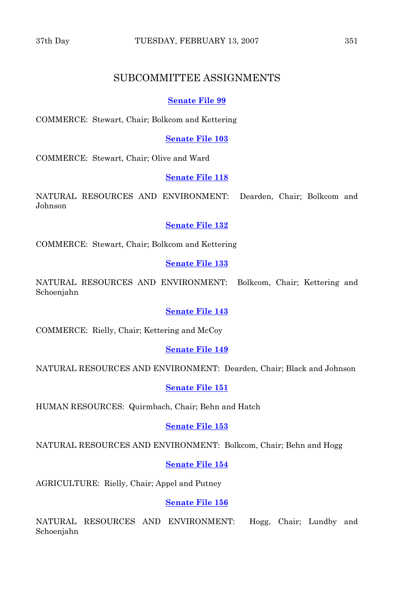## SUBCOMMITTEE ASSIGNMENTS

#### **[Senate File 99](http://coolice.legis.state.ia.us/Cool-ICE/default.asp?Category=billinfo&Service=Billbook&frame=1&GA=82&hbill=SF99)**

COMMERCE: Stewart, Chair; Bolkcom and Kettering

**[Senate File 103](http://coolice.legis.state.ia.us/Cool-ICE/default.asp?Category=billinfo&Service=Billbook&frame=1&GA=82&hbill=SF103)**

COMMERCE: Stewart, Chair; Olive and Ward

#### **[Senate File 118](http://coolice.legis.state.ia.us/Cool-ICE/default.asp?Category=billinfo&Service=Billbook&frame=1&GA=82&hbill=SF118)**

NATURAL RESOURCES AND ENVIRONMENT: Dearden, Chair; Bolkcom and Johnson

#### **[Senate File 132](http://coolice.legis.state.ia.us/Cool-ICE/default.asp?Category=billinfo&Service=Billbook&frame=1&GA=82&hbill=SF132)**

COMMERCE: Stewart, Chair; Bolkcom and Kettering

#### **[Senate File 133](http://coolice.legis.state.ia.us/Cool-ICE/default.asp?Category=billinfo&Service=Billbook&frame=1&GA=82&hbill=SF133)**

NATURAL RESOURCES AND ENVIRONMENT: Bolkcom, Chair; Kettering and Schoenjahn

#### **[Senate File 143](http://coolice.legis.state.ia.us/Cool-ICE/default.asp?Category=billinfo&Service=Billbook&frame=1&GA=82&hbill=SF143)**

COMMERCE: Rielly, Chair; Kettering and McCoy

#### **[Senate File 149](http://coolice.legis.state.ia.us/Cool-ICE/default.asp?Category=billinfo&Service=Billbook&frame=1&GA=82&hbill=SF149)**

NATURAL RESOURCES AND ENVIRONMENT: Dearden, Chair; Black and Johnson

#### **[Senate File 151](http://coolice.legis.state.ia.us/Cool-ICE/default.asp?Category=billinfo&Service=Billbook&frame=1&GA=82&hbill=SF151)**

HUMAN RESOURCES: Quirmbach, Chair; Behn and Hatch

#### **[Senate File 153](http://coolice.legis.state.ia.us/Cool-ICE/default.asp?Category=billinfo&Service=Billbook&frame=1&GA=82&hbill=SF153)**

NATURAL RESOURCES AND ENVIRONMENT: Bolkcom, Chair; Behn and Hogg

#### **[Senate File 154](http://coolice.legis.state.ia.us/Cool-ICE/default.asp?Category=billinfo&Service=Billbook&frame=1&GA=82&hbill=SF154)**

AGRICULTURE: Rielly, Chair; Appel and Putney

#### **[Senate File 156](http://coolice.legis.state.ia.us/Cool-ICE/default.asp?Category=billinfo&Service=Billbook&frame=1&GA=82&hbill=SF156)**

NATURAL RESOURCES AND ENVIRONMENT: Hogg, Chair; Lundby and Schoenjahn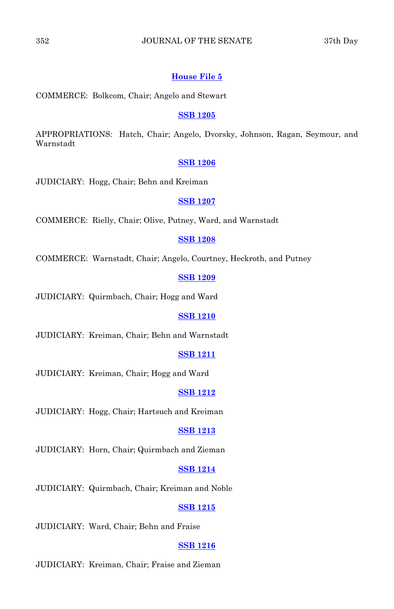#### 352 JOURNAL OF THE SENATE 37th Day

#### **[House File 5](http://coolice.legis.state.ia.us/Cool-ICE/default.asp?Category=billinfo&Service=Billbook&frame=1&GA=82&hbill=HF5)**

COMMERCE: Bolkcom, Chair; Angelo and Stewart

#### **[SSB 1205](http://coolice.legis.state.ia.us/Cool-ICE/default.asp?Category=billinfo&Service=Billbook&frame=1&GA=82&hbill=SSB1205)**

APPROPRIATIONS: Hatch, Chair; Angelo, Dvorsky, Johnson, Ragan, Seymour, and Warnstadt

#### **[SSB 1206](http://coolice.legis.state.ia.us/Cool-ICE/default.asp?Category=billinfo&Service=Billbook&frame=1&GA=82&hbill=SSB1206)**

JUDICIARY: Hogg, Chair; Behn and Kreiman

#### **[SSB 1207](http://coolice.legis.state.ia.us/Cool-ICE/default.asp?Category=billinfo&Service=Billbook&frame=1&GA=82&hbill=SSB1207)**

COMMERCE: Rielly, Chair; Olive, Putney, Ward, and Warnstadt

#### **[SSB 1208](http://coolice.legis.state.ia.us/Cool-ICE/default.asp?Category=billinfo&Service=Billbook&frame=1&GA=82&hbill=SSB1208)**

COMMERCE: Warnstadt, Chair; Angelo, Courtney, Heckroth, and Putney

#### **[SSB 1209](http://coolice.legis.state.ia.us/Cool-ICE/default.asp?Category=billinfo&Service=Billbook&frame=1&GA=82&hbill=SSB1209)**

JUDICIARY: Quirmbach, Chair; Hogg and Ward

#### **[SSB 1210](http://coolice.legis.state.ia.us/Cool-ICE/default.asp?Category=billinfo&Service=Billbook&frame=1&GA=82&hbill=SSB1210)**

JUDICIARY: Kreiman, Chair; Behn and Warnstadt

#### **[SSB 1211](http://coolice.legis.state.ia.us/Cool-ICE/default.asp?Category=billinfo&Service=Billbook&frame=1&GA=82&hbill=SSB1211)**

JUDICIARY: Kreiman, Chair; Hogg and Ward

#### **[SSB 1212](http://coolice.legis.state.ia.us/Cool-ICE/default.asp?Category=billinfo&Service=Billbook&frame=1&GA=82&hbill=SSB1212)**

JUDICIARY: Hogg, Chair; Hartsuch and Kreiman

#### **[SSB 1213](http://coolice.legis.state.ia.us/Cool-ICE/default.asp?Category=billinfo&Service=Billbook&frame=1&GA=82&hbill=SSB1213)**

JUDICIARY: Horn, Chair; Quirmbach and Zieman

#### **[SSB 1214](http://coolice.legis.state.ia.us/Cool-ICE/default.asp?Category=billinfo&Service=Billbook&frame=1&GA=82&hbill=SSB1214)**

JUDICIARY: Quirmbach, Chair; Kreiman and Noble

#### **[SSB 1215](http://coolice.legis.state.ia.us/Cool-ICE/default.asp?Category=billinfo&Service=Billbook&frame=1&GA=82&hbill=SSB1215)**

JUDICIARY: Ward, Chair; Behn and Fraise

#### **[SSB 1216](http://coolice.legis.state.ia.us/Cool-ICE/default.asp?Category=billinfo&Service=Billbook&frame=1&GA=82&hbill=SSB1216)**

JUDICIARY: Kreiman, Chair; Fraise and Zieman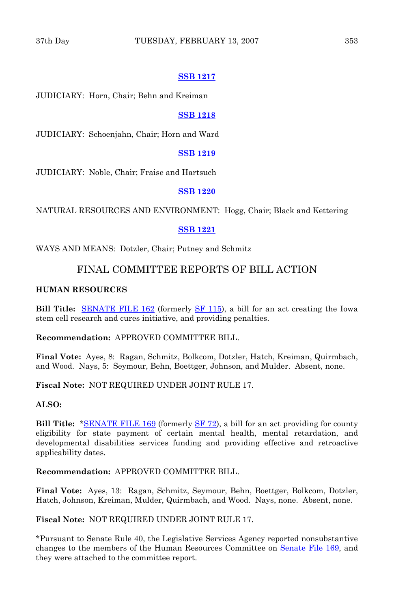#### **[SSB 1217](http://coolice.legis.state.ia.us/Cool-ICE/default.asp?Category=billinfo&Service=Billbook&frame=1&GA=82&hbill=SSB1217)**

JUDICIARY: Horn, Chair; Behn and Kreiman

#### **[SSB 1218](http://coolice.legis.state.ia.us/Cool-ICE/default.asp?Category=billinfo&Service=Billbook&frame=1&GA=82&hbill=SSB1218)**

JUDICIARY: Schoenjahn, Chair; Horn and Ward

## **[SSB 1219](http://coolice.legis.state.ia.us/Cool-ICE/default.asp?Category=billinfo&Service=Billbook&frame=1&GA=82&hbill=SSB1219)**

JUDICIARY: Noble, Chair; Fraise and Hartsuch

#### **[SSB 1220](http://coolice.legis.state.ia.us/Cool-ICE/default.asp?Category=billinfo&Service=Billbook&frame=1&GA=82&hbill=SSB1220)**

NATURAL RESOURCES AND ENVIRONMENT: Hogg, Chair; Black and Kettering

#### **[SSB 1221](http://coolice.legis.state.ia.us/Cool-ICE/default.asp?Category=billinfo&Service=Billbook&frame=1&GA=82&hbill=SSB1221)**

WAYS AND MEANS: Dotzler, Chair; Putney and Schmitz

## FINAL COMMITTEE REPORTS OF BILL ACTION

#### **HUMAN RESOURCES**

**Bill Title:** [SENATE FILE 162](http://coolice.legis.state.ia.us/Cool-ICE/default.asp?Category=billinfo&Service=Billbook&frame=1&GA=82&hbill=SF162) (formerly [SF 115\)](http://coolice.legis.state.ia.us/Cool-ICE/default.asp?Category=billinfo&Service=Billbook&frame=1&GA=82&hbill=SF115), a bill for an act creating the Iowa stem cell research and cures initiative, and providing penalties.

#### **Recommendation:** APPROVED COMMITTEE BILL.

**Final Vote:** Ayes, 8: Ragan, Schmitz, Bolkcom, Dotzler, Hatch, Kreiman, Quirmbach, and Wood. Nays, 5: Seymour, Behn, Boettger, Johnson, and Mulder. Absent, none.

**Fiscal Note:** NOT REQUIRED UNDER JOINT RULE 17.

#### **ALSO:**

**Bill Title:** [\\*SENATE FILE 169](http://coolice.legis.state.ia.us/Cool-ICE/default.asp?Category=billinfo&Service=Billbook&frame=1&GA=82&hbill=SF169) (formerly [SF 72\)](http://coolice.legis.state.ia.us/Cool-ICE/default.asp?Category=billinfo&Service=Billbook&frame=1&GA=82&hbill=SF72), a bill for an act providing for county eligibility for state payment of certain mental health, mental retardation, and developmental disabilities services funding and providing effective and retroactive applicability dates.

**Recommendation:** APPROVED COMMITTEE BILL.

**Final Vote:** Ayes, 13: Ragan, Schmitz, Seymour, Behn, Boettger, Bolkcom, Dotzler, Hatch, Johnson, Kreiman, Mulder, Quirmbach, and Wood. Nays, none. Absent, none.

**Fiscal Note:** NOT REQUIRED UNDER JOINT RULE 17.

\*Pursuant to Senate Rule 40, the Legislative Services Agency reported nonsubstantive changes to the members of the Human Resources Committee on [Senate File 169,](http://coolice.legis.state.ia.us/Cool-ICE/default.asp?Category=billinfo&Service=Billbook&frame=1&GA=82&hbill=SF169) and they were attached to the committee report.